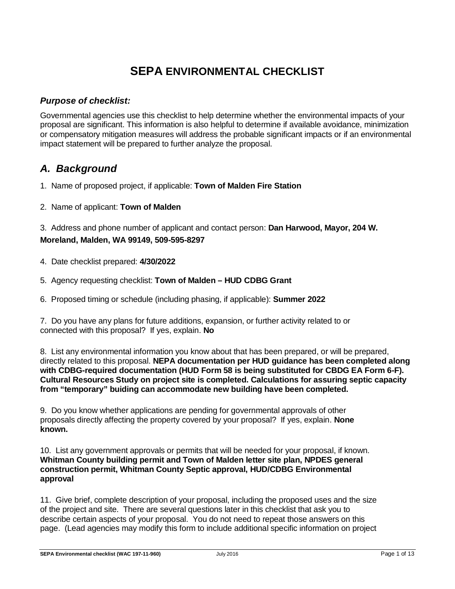# **[SEPA](https://ecology.wa.gov/Regulations-Permits/SEPA/Environmental-review/SEPA-guidance/Checklist-guidance) ENVIRONMENTAL CHECKLIST**

### *Purpose of checklist:*

Governmental agencies use this checklist to help determine whether the environmental impacts of your proposal are significant. This information is also helpful to determine if available avoidance, minimization or compensatory mitigation measures will address the probable significant impacts or if an environmental impact statement will be prepared to further analyze the proposal.

# *A. Background*

1. Name of proposed project, if applicable: **Town of Malden Fire Station**

2. Name of applicant: **Town of Malden**

3. Address and phone number of applicant and contact person: **Dan Harwood, Mayor, 204 W. Moreland, Malden, WA 99149, 509-595-8297**

- 4. Date checklist prepared: **4/30/2022**
- 5. Agency requesting checklist: **Town of Malden – HUD CDBG Grant**
- 6. Proposed timing or schedule (including phasing, if applicable): **Summer 2022**

7. Do you have any plans for future additions, expansion, or further activity related to or connected with this proposal? If yes, explain. **No**

8. List any environmental information you know about that has been prepared, or will be prepared, directly related to this proposal. **NEPA documentation per HUD guidance has been completed along with CDBG-required documentation (HUD Form 58 is being substituted for CBDG EA Form 6-F). Cultural Resources Study on project site is completed. Calculations for assuring septic capacity from "temporary" buiding can accommodate new building have been completed.**

9. Do you know whether applications are pending for governmental approvals of other proposals directly affecting the property covered by your proposal? If yes, explain. **None known.**

10. List any government approvals or permits that will be needed for your proposal, if known. **Whitman County building permit and Town of Malden letter site plan, NPDES general construction permit, Whitman County Septic approval, HUD/CDBG Environmental approval**

11. Give brief, complete description of your proposal, including the proposed uses and the size of the project and site. There are several questions later in this checklist that ask you to describe certain aspects of your proposal. You do not need to repeat those answers on this page. (Lead agencies may modify this form to include additional specific information on project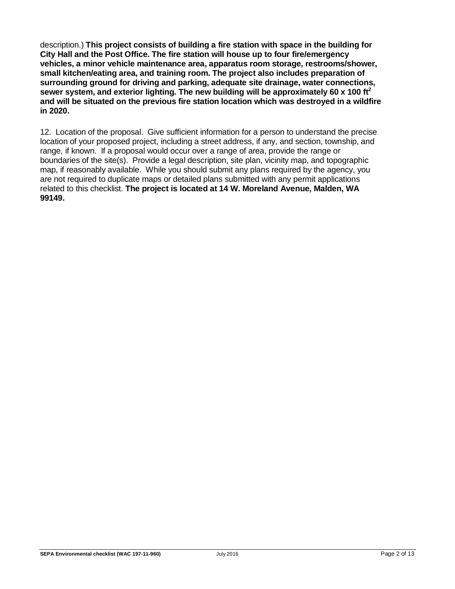description.) **This project consists of building a fire station with space in the building for City Hall and the Post Office. The fire station will house up to four fire/emergency vehicles, a minor vehicle maintenance area, apparatus room storage, restrooms/shower, small kitchen/eating area, and training room. The project also includes preparation of surrounding ground for driving and parking, adequate site drainage, water connections, sewer system, and exterior lighting. The new building will be approximately 60 x 100 ft2 and will be situated on the previous fire station location which was destroyed in a wildfire in 2020.**

12. Location of the proposal. Give sufficient information for a person to understand the precise location of your proposed project, including a street address, if any, and section, township, and range, if known. If a proposal would occur over a range of area, provide the range or boundaries of the site(s). Provide a legal description, site plan, vicinity map, and topographic map, if reasonably available. While you should submit any plans required by the agency, you are not required to duplicate maps or detailed plans submitted with any permit applications related to this checklist. **The project is located at 14 W. Moreland Avenue, Malden, WA 99149.**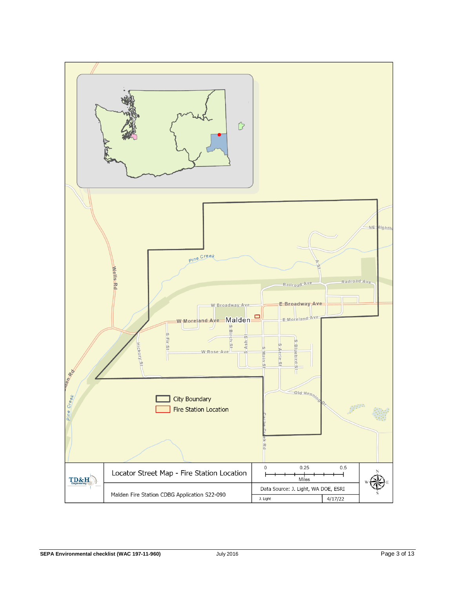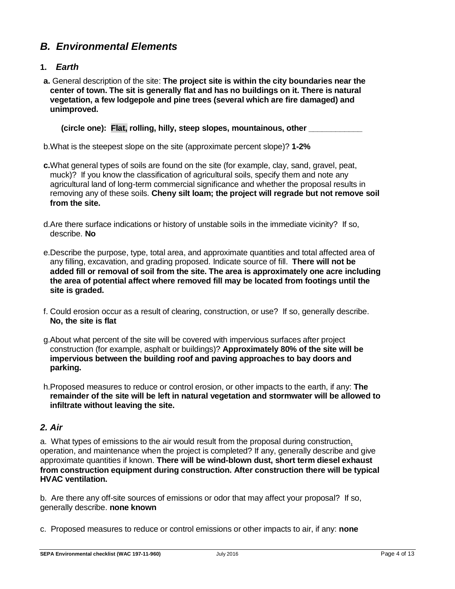# *B. Environmental Elements*

#### **1.** *Earth*

**a.** General description of the site: **The project site is within the city boundaries near the center of town. The sit is generally flat and has no buildings on it. There is natural vegetation, a few lodgepole and pine trees (several which are fire damaged) and unimproved.**

 **(circle one): Flat, rolling, hilly, steep slopes, mountainous, other \_\_\_\_\_\_\_\_\_\_\_\_**

b.What is the steepest slope on the site (approximate percent slope)? **1-2%**

- **c.**What general types of soils are found on the site (for example, clay, sand, gravel, peat, muck)? If you know the classification of agricultural soils, specify them and note any agricultural land of long-term commercial significance and whether the proposal results in removing any of these soils. **Cheny silt loam; the project will regrade but not remove soil from the site.**
- d.Are there surface indications or history of unstable soils in the immediate vicinity? If so, describe. **No**
- e.Describe the purpose, type, total area, and approximate quantities and total affected area of any filling, excavation, and grading proposed. Indicate source of fill. **There will not be added fill or removal of soil from the site. The area is approximately one acre including the area of potential affect where removed fill may be located from footings until the site is graded.**
- f. Could erosion occur as a result of clearing, construction, or use? If so, generally describe. **No, the site is flat**
- g.About what percent of the site will be covered with impervious surfaces after project construction (for example, asphalt or buildings)? **Approximately 80% of the site will be impervious between the building roof and paving approaches to bay doors and parking.**
- h.Proposed measures to reduce or control erosion, or other impacts to the earth, if any: **The remainder of the site will be left in natural vegetation and stormwater will be allowed to infiltrate without leaving the site.**

#### *2. Air*

a. What types of emissions to the air would result from the proposal during construction, operation, and maintenance when the project is completed? If any, generally describe and give approximate quantities if known. **There will be wind-blown dust, short term diesel exhaust from construction equipment during construction. After construction there will be typical HVAC ventilation.** 

b. Are there any off-site sources of emissions or odor that may affect your proposal? If so, generally describe. **none known**

c. Proposed measures to reduce or control emissions or other impacts to air, if any: **none**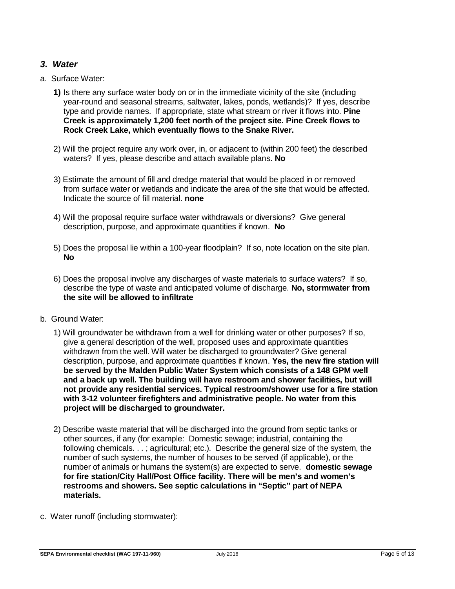#### *3. Water*

- a. Surface Water:
	- **1)** Is there any surface water body on or in the immediate vicinity of the site (including year-round and seasonal streams, saltwater, lakes, ponds, wetlands)? If yes, describe type and provide names. If appropriate, state what stream or river it flows into. **Pine Creek is approximately 1,200 feet north of the project site. Pine Creek flows to Rock Creek Lake, which eventually flows to the Snake River.**
	- 2) Will the project require any work over, in, or adjacent to (within 200 feet) the described waters? If yes, please describe and attach available plans. **No**
	- 3) Estimate the amount of fill and dredge material that would be placed in or removed from surface water or wetlands and indicate the area of the site that would be affected. Indicate the source of fill material. **none**
	- 4) Will the proposal require surface water withdrawals or diversions? Give general description, purpose, and approximate quantities if known. **No**
	- 5) Does the proposal lie within a 100-year floodplain? If so, note location on the site plan. **No**
	- 6) Does the proposal involve any discharges of waste materials to surface waters? If so, describe the type of waste and anticipated volume of discharge. **No, stormwater from the site will be allowed to infiltrate**
- b. Ground Water:
	- 1) Will groundwater be withdrawn from a well for drinking water or other purposes? If so, give a general description of the well, proposed uses and approximate quantities withdrawn from the well. Will water be discharged to groundwater? Give general description, purpose, and approximate quantities if known. **Yes, the new fire station will be served by the Malden Public Water System which consists of a 148 GPM well and a back up well. The building will have restroom and shower facilities, but will not provide any residential services. Typical restroom/shower use for a fire station with 3-12 volunteer firefighters and administrative people. No water from this project will be discharged to groundwater.**
	- 2) Describe waste material that will be discharged into the ground from septic tanks or other sources, if any (for example: Domestic sewage; industrial, containing the following chemicals. . . ; agricultural; etc.). Describe the general size of the system, the number of such systems, the number of houses to be served (if applicable), or the number of animals or humans the system(s) are expected to serve. **domestic sewage for fire station/City Hall/Post Office facility. There will be men's and women's restrooms and showers. See septic calculations in "Septic" part of NEPA materials.**
- c. Water runoff (including stormwater):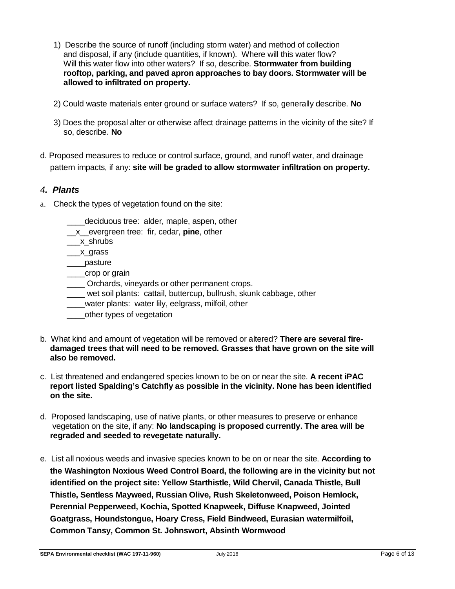- 1) Describe the source of runoff (including storm water) and method of collection and disposal, if any (include quantities, if known). Where will this water flow? Will this water flow into other waters? If so, describe. **Stormwater from building rooftop, parking, and paved apron approaches to bay doors. Stormwater will be allowed to infiltrated on property.**
- 2) Could waste materials enter ground or surface waters? If so, generally describe. **No**
- 3) Does the proposal alter or otherwise affect drainage patterns in the vicinity of the site? If so, describe. **No**
- d. Proposed measures to reduce or control surface, ground, and runoff water, and drainage pattern impacts, if any: **site will be graded to allow stormwater infiltration on property.**

### *4. Plants*

- a. Check the types of vegetation found on the site:
	- \_\_\_\_deciduous tree: alder, maple, aspen, other
	- \_\_x\_\_evergreen tree: fir, cedar, **pine**, other

\_\_\_x\_shrubs

\_\_\_x\_grass

\_\_\_\_pasture

- \_\_\_\_crop or grain
- Orchards, vineyards or other permanent crops.
- \_\_\_\_ wet soil plants: cattail, buttercup, bullrush, skunk cabbage, other
- \_\_\_\_water plants: water lily, eelgrass, milfoil, other
- \_\_\_\_\_other types of vegetation
- b. What kind and amount of vegetation will be removed or altered? **There are several firedamaged trees that will need to be removed. Grasses that have grown on the site will also be removed.**
- c. List threatened and endangered species known to be on or near the site. **A recent iPAC report listed Spalding's Catchfly as possible in the vicinity. None has been identified on the site.**
- d. Proposed landscaping, use of native plants, or other measures to preserve or enhance vegetation on the site, if any: **No landscaping is proposed currently. The area will be regraded and seeded to revegetate naturally.**
- e. List all noxious weeds and invasive species known to be on or near the site. **According to the Washington Noxious Weed Control Board, the following are in the vicinity but not identified on the project site: Yellow Starthistle, Wild Chervil, Canada Thistle, Bull Thistle, Sentless Mayweed, Russian Olive, Rush Skeletonweed, Poison Hemlock, Perennial Pepperweed, Kochia, Spotted Knapweek, Diffuse Knapweed, Jointed Goatgrass, Houndstongue, Hoary Cress, Field Bindweed, Eurasian watermilfoil, Common Tansy, Common St. Johnswort, Absinth Wormwood**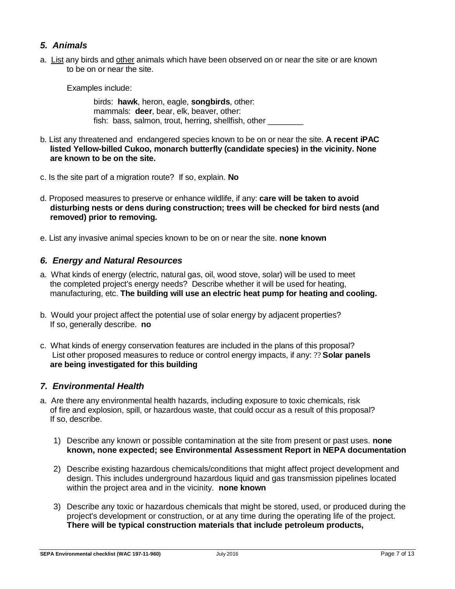#### *5. Animals*

a. List any birds and other anim[als which have been observed on or near the site o](https://ecology.wa.gov/Regulations-Permits/SEPA/Environmental-review/SEPA-guidance/Checklist-guidancel#5.%20Animals)r are known to be on or near the site.

Examples include:

birds: **hawk**, heron, eagle, **songbirds**, other: mammals: **deer**, bear, elk, beaver, other: fish: bass, salmon, trout, herring, shellfish, other

- b. List any threatened and endangered species known to be on or near the site. **A recent iPAC listed Yellow-billed Cukoo, monarch butterfly (candidate species) in the vicinity. None are known to be on the site.**
- c. Is the site part of a migration route? If so, explain. **No**
- d. Proposed measures to preserve or enhance wildlife, if any: **care will be taken to avoid disturbing nests or dens during construction; trees will be checked for bird nests (and removed) prior to removing.**
- e. List any invasive animal species known to be on or near the site. **none known**

#### *6. Energy and Natural Resources*

- a. What kinds of energy (electric, natural gas, oil, wood stove, solar) will be used to meet the completed project's energy needs? Describe whether it will be used for heating, manufacturing, etc. **The building will use an electric heat pump for heating and cooling.**
- b. Would your project affect the potential use of solar energy by adjacent properties? If so, generally describe. **no**
- c. What kinds of energy conservation features are included in the plans of this proposal? List other proposed measures to reduce or control energy impacts, if any: ?? **Solar panels are being investigated for this building**

#### *7. Environmental Health*

- a. Are there any environmental health hazards, including exposure to toxic chemicals, risk of fire and explosion, spill, or hazardous waste, that could occur as a result of this proposal? If so, describe.
	- 1) Describe any known or possible contamination at the site from present or past uses. **none known, none expected; see Environmental Assessment Report in NEPA documentation**
	- 2) Describe existing hazardous chemicals/conditions that might affect project development and design. This includes underground hazardous liquid and gas transmission pipelines located within the project area and in the vicinity. **none known**
	- 3) Describe any toxic or hazardous chemicals that might be stored, used, or produced during the project's development or construction, or at any time during the operating life of the project. **There will be typical construction materials that include petroleum products,**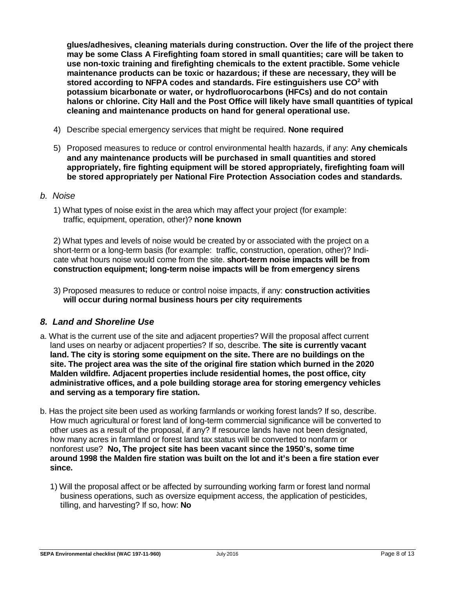**glues/adhesives, cleaning materials during construction. Over the life of the project there may be some Class A Firefighting foam stored in small quantities; care will be taken to use non-toxic training and firefighting chemicals to the extent practible. Some vehicle maintenance products can be toxic or hazardous; if these are necessary, they will be stored according to NFPA codes and standards. Fire estinguishers use CO2 with potassium bicarbonate or water, or hydrofluorocarbons (HFCs) and do not contain halons or chlorine. City Hall and the Post Office will likely have small quantities of typical cleaning and maintenance products on hand for general operational use.** 

- 4) Describe special emergency services that might be required. **None required**
- 5) Proposed measures to reduce or control environmental health hazards, if any: A**ny chemicals and any maintenance products will be purchased in small quantities and stored appropriately, fire fighting equipment will be stored appropriately, firefighting foam will be stored appropriately per National Fire Protection Association codes and standards.**

#### *b. Noise*

1) What types of noise exist in the area which may affect your project (for example: traffic, equipment, operation, other)? **none known**

2) What types and levels of noise would be created by or associated with the project on a short-term or a long-term basis (for example: traffic, construction, operation, other)? Indicate what hours noise would come from the site. **short-term noise impacts will be from construction equipment; long-term noise impacts will be from emergency sirens**

3) Proposed measures to reduce or control noise impacts, if any: **construction activities will occur during normal business hours per city requirements**

#### *8. Land and Shoreline Use*

- a. What is the current use of the site and adjacent properties? Will the proposal affect current land uses on nearby or adjacent properties? If so, describe. **The site is currently vacant land. The city is storing some equipment on the site. There are no buildings on the site. The project area was the site of the original fire station which burned in the 2020 Malden wildfire. Adjacent properties include residential homes, the post office, city administrative offices, and a pole building storage area for storing emergency vehicles and serving as a temporary fire station.**
- b. Has the project site been used as working farmlands or working forest lands? If so, describe. How much agricultural or forest land of long-term commercial significance will be converted to other uses as a result of the proposal, if any? If resource lands have not been designated, how many acres in farmland or forest land tax status will be converted to nonfarm or nonforest use? **No, The project site has been vacant since the 1950's, some time around 1998 the Malden fire station was built on the lot and it's been a fire station ever since.**
	- 1) Will the proposal affect or be affected by surrounding working farm or forest land normal business operations, such as oversize equipment access, the application of pesticides, tilling, and harvesting? If so, how: **No**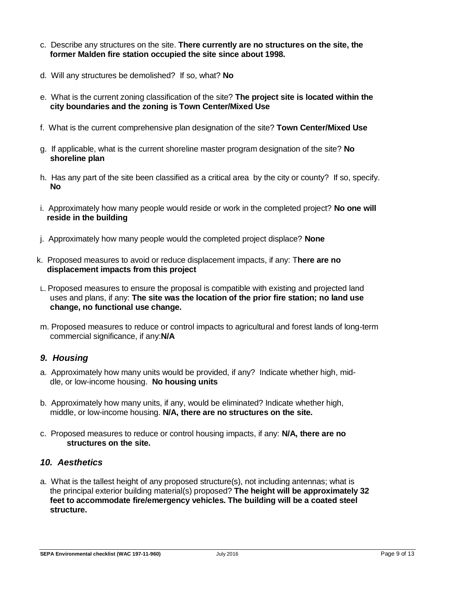- c. Describe any structures on the site. **There currently are no structures on the site, the former Malden fire station occupied the site since about 1998.**
- d. Will any structures be demolished? If so, what? **No**
- e. What is the current zoning classification of the site? **The project site is located within the city boundaries and the zoning is Town Center/Mixed Use**
- f. What is the current comprehensive plan designation of the site? **Town Center/Mixed Use**
- g. If applicable, what is the current shoreline master program designation of the site? **No shoreline plan**
- h. Has any part of the site been classified as a critical area by the city or county? If so, specify. **No**
- i. Approximately how many people would reside or work in the completed project? **No one will reside in the building**
- j. Approximately how many people would the completed project displace? **None**
- k. Proposed measures to avoid or reduce displacement impacts, if any: T**here are no displacement impacts from this project**
- L. Proposed measures to ensure the proposal is compatible with existing and projected land uses and plans, if any: **The site was the location of the prior fire station; no land use change, no functional use change.**
- m. Proposed measures to reduce or control impacts to agricultural and forest lands of long-term commercial significance, if any:**N/A**

#### *9. Housing*

- a. Approximately how many units would be provided, if any? Indicate whether high, middle, or low-income housing. **No housing units**
- b. Approximately how many units, if any, would be eliminated? Indicate whether high, middle, or low-income housing. **N/A, there are no structures on the site.**
- c. Proposed measures to reduce or control housing impacts, if any: **N/A, there are no structures on the site.**

#### *10. Aesthetics*

a. What is the tallest height of any proposed structure(s), not including antennas; what is the principal exterior building material(s) proposed? **The height will be approximately 32 feet to accommodate fire/emergency vehicles. The building will be a coated steel structure.**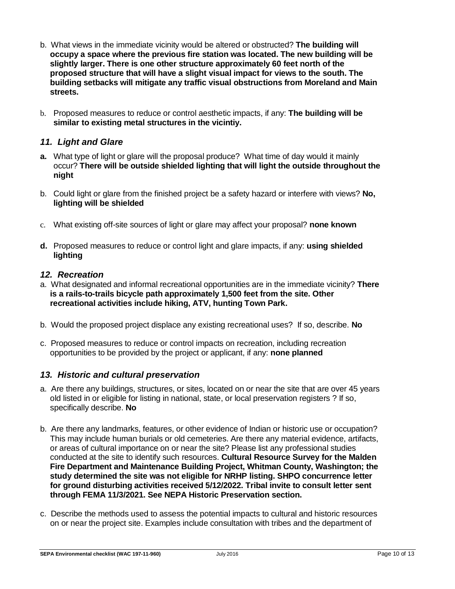- b. What views in the immediate vicinity would be altered or obstructed? **The building will occupy a space where the previous fire station was located. The new building will be slightly larger. There is one other structure approximately 60 feet north of the proposed structure that will have a slight visual impact for views to the south. The building setbacks will mitigate any traffic visual obstructions from Moreland and Main streets.**
- b. Proposed measures to reduce or control aesthetic impacts, if any: **The building will be similar to existing metal structures in the vicintiy.**

### *11. Light and Glare*

- **a.** What type of light or glare will the proposal produce? What time of day would it mainly occur? **There will be outside shielded lighting that will light the outside throughout the night**
- b. Could light or glare from the finished project be a safety hazard or interfere with views? **No, lighting will be shielded**
- c. What existing off-site sources of light or glare may affect your proposal? **none known**
- **d.** Proposed measures to reduce or control light and glare impacts, if any: **using shielded lighting**

#### *12. Recreation*

- a. What designated and informal recreational opportunities are in the immediate vicinity? **There is a rails-to-trails bicycle path approximately 1,500 feet from the site. Other recreational activities include hiking, ATV, hunting Town Park.**
- b. Would the proposed project displace any existing recreational uses? If so, describe. **No**
- c. Proposed measures to reduce or control impacts on recreation, including recreation opportunities to be provided by the project or applicant, if any: **none planned**

#### *13. Historic and cultural preservation*

- a. Are there any buildings, structures, or sites, located on or near the site that are over 45 years old listed in or eligible for listing in national, state, or local preservation registers ? If so, specifically describe. **No**
- b. Are there any landmarks, features, or other evidence of Indian or historic use or occupation? This may include human burials or old cemeteries. Are there any material evidence, artifacts, or areas of cultural importance on or near the site? Please list any professional studies conducted at the site to identify such resources. **Cultural Resource Survey for the Malden Fire Department and Maintenance Building Project, Whitman County, Washington; the study determined the site was not eligible for NRHP listing. SHPO concurrence letter for ground disturbing activities received 5/12/2022. Tribal invite to consult letter sent through FEMA 11/3/2021. See NEPA Historic Preservation section.**
- c. Describe the methods used to assess the potential impacts to cultural and historic resources on or near the project site. Examples include consultation with tribes and the department of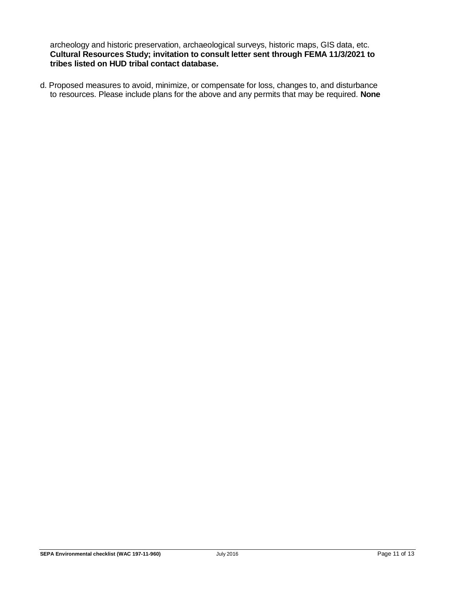archeology and historic preservation, archaeological surveys, historic maps, GIS data, etc. **Cultural Resources Study; invitation to consult letter sent through FEMA 11/3/2021 to tribes listed on HUD tribal contact database.**

d. Proposed measures to avoid, minimize, or compensate for loss, changes to, and disturbance to resources. Please include plans for the above and any permits that may be required. **None**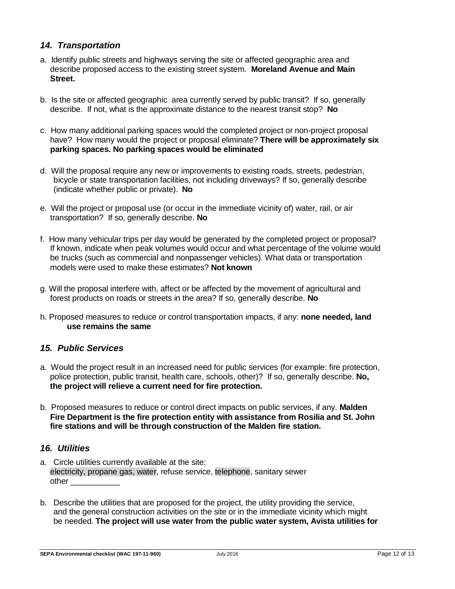#### *14. Transportation*

- a. Identify public streets and highways serving the site or affected geographic area and describe proposed access to the existing street system. **Moreland Avenue and Main Street.**
- b. Is the site or affected geographic area currently served by public transit? If so, generally describe. If not, what is the approximate distance to the nearest transit stop? **No**
- c. How many additional parking spaces would the completed project or non-project proposal have? How many would the project or proposal eliminate? **There will be approximately six parking spaces. No parking spaces would be eliminated**
- d. Will the proposal require any new or improvements to existing roads, streets, pedestrian, bicycle or state transportation facilities, not including driveways? If so, generally describe (indicate whether public or private). **No**
- e. Will the project or proposal use (or occur in the immediate vicinity of) water, rail, or air transportation? If so, generally describe. **N[o](https://ecology.wa.gov/Regulations-Permits/SEPA/Environmental-review/SEPA-guidance/Checklist-guidance#14.%20Transportation)**
- f. How many vehicular trips per day would be generated by the completed project or proposal? If known, indicate when peak volumes would occur and what percentage of the volume would be trucks (such as commercial and nonpassenger vehicles). What data or transportation models were used to make these estimates? **Not known**
- g. Will the proposal interfere with, affect or be affected by the movement of agricultural and forest products on roads or streets in the area? If so, generally describe. **No**
- h. Proposed measures to reduce or control transportation impacts, if any: **none needed, land use remains the same**

#### *15. Public Services*

- a. Would the project result in an increased need for public services (for example: fire protection, police protection, public transit, health care, schools, other)? If so, generally describe. **No, the project will relieve a current need for fire protection.**
- b. Proposed measures to reduce or control direct impacts on public services, if any. **Malden Fire Department is the fire protection entity with assistance from Rosilia and St. John fire stations and will be through construction of the Malden fire station.**

### *16. Utilities*

- a. Circle utilities currently available at the site: electricity, propane gas, water, refuse service, telephone, sanitary sewer other \_\_\_\_\_\_\_\_\_\_\_
- b. Describe the utilities that are proposed for the project, the utility providing the service, and the general construction activities on the site or in the immediate vicinity which might be needed. **The project will use water from the public water system, Avista utilities for**